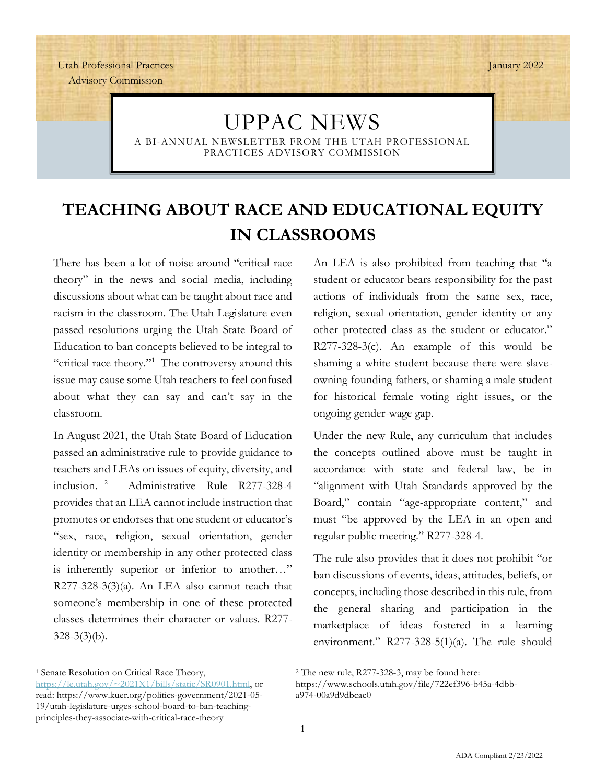January 2022

Utah Professional Practices Advisory Commission

# UPPAC NEWS

A BI-ANNUAL NEWSLETTER FROM THE UTAH PROFESSIONAL PRACTICES ADVISORY COMMISSION

# **TEACHING ABOUT RACE AND EDUCATIONAL EQUITY IN CLASSROOMS**

There has been a lot of noise around "critical race theory" in the news and social media, including discussions about what can be taught about race and racism in the classroom. The Utah Legislature even passed resolutions urging the Utah State Board of Education to ban concepts believed to be integral to "critical race theory."<sup>[1](#page-0-0)</sup> The controversy around this issue may cause some Utah teachers to feel confused about what they can say and can't say in the classroom.

In August 2021, the Utah State Board of Education passed an administrative rule to provide guidance to teachers and LEAs on issues of equity, diversity, and inclusion. [2](#page-0-0) Administrative Rule R277-328-4 provides that an LEA cannot include instruction that promotes or endorses that one student or educator's "sex, race, religion, sexual orientation, gender identity or membership in any other protected class is inherently superior or inferior to another…" R277-328-3(3)(a). An LEA also cannot teach that someone's membership in one of these protected classes determines their character or values. R277-  $328-3(3)(b)$ .

<span id="page-0-0"></span><sup>1</sup> Senate Resolution on Critical Race Theory, [https://le.utah.gov/~2021X1/bills/static/SR0901.html,](https://le.utah.gov/%7E2021X1/bills/static/SR0901.html) or read: https://www.kuer.org/politics-government/2021-05- 19/utah-legislature-urges-school-board-to-ban-teachingprinciples-they-associate-with-critical-race-theory

An LEA is also prohibited from teaching that "a student or educator bears responsibility for the past actions of individuals from the same sex, race, religion, sexual orientation, gender identity or any other protected class as the student or educator." R277-328-3(c). An example of this would be shaming a white student because there were slaveowning founding fathers, or shaming a male student for historical female voting right issues, or the ongoing gender-wage gap.

Under the new Rule, any curriculum that includes the concepts outlined above must be taught in accordance with state and federal law, be in "alignment with Utah Standards approved by the Board," contain "age-appropriate content," and must "be approved by the LEA in an open and regular public meeting." R277-328-4.

The rule also provides that it does not prohibit "or ban discussions of events, ideas, attitudes, beliefs, or concepts, including those described in this rule, from the general sharing and participation in the marketplace of ideas fostered in a learning environment." R277-328-5(1)(a). The rule should

<sup>2</sup> The new rule, R277-328-3, may be found here:

https://www.schools.utah.gov/file/722ef396-b45a-4dbba974-00a9d9dbcac0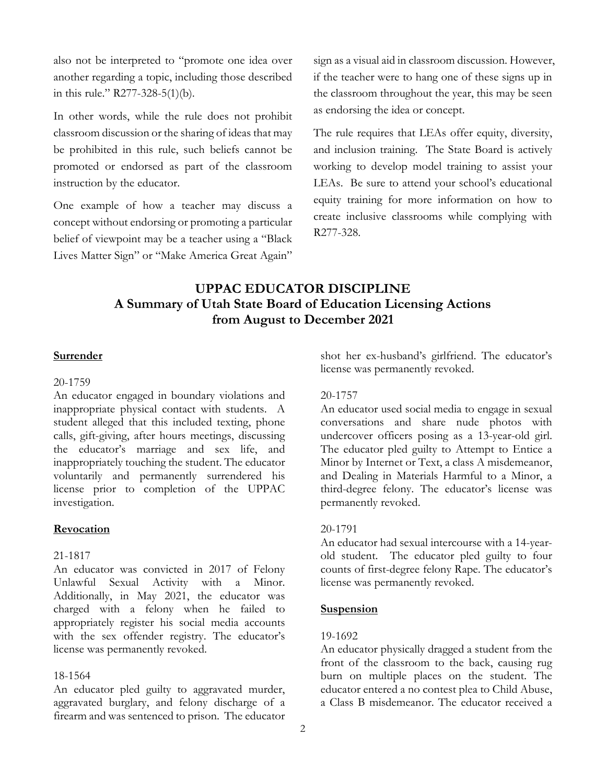also not be interpreted to "promote one idea over sign as a visual aid in classroom discussion. However, another regarding a topic, including those described if the teacher were to hang one of these signs up in

In other words, while the rule does not prohibit as endorsing the idea or concept. classroom discussion or the sharing of ideas that may The rule requires that LEAs offer equity, diversity, be prohibited in this rule, such beliefs cannot be and inclusion training. The State Board is actively promoted or endorsed as part of the classroom working to develop model training to assist your instruction by the educator. LEAs. Be sure to attend your school's educational

concept without endorsing or promoting a particular create inclusive concept without endorsing or promoting a particular R277-328. belief of viewpoint may be a teacher using a "Black Lives Matter Sign" or "Make America Great Again"

in this rule." R277-328-5(1)(b). the classroom throughout the year, this may be seen

One example of how a teacher may discuss a equity training for more information on how to create inclusive classrooms while complying with

## **UPPAC EDUCATOR DISCIPLINE A Summary of Utah State Board of Education Licensing Actions from August to December 2021**

## 20-1759

An educator engaged in boundary violations and 20-1757<br>inappropriate physical contact with students. A An educ student alleged that this included texting, phone conversations and share nude photos with calls, gift-giving, after hours meetings, discussing undercover officers posing as a 13-year-old girl. calls, gift-giving, after hours meetings, discussing the educator's marriage and sex life, and the educator's marriage and sex life, and The educator pled guilty to Attempt to Entice a inappropriately touching the student. The educator Minor by Internet or Text, a class A misdemeanor, inappropriately touching the student. The educator Minor by Internet or Text, a class A misdemeanor, voluntarily and permanently surrendered his and Dealing in Materials Harmful to a Minor, a license prior to completion of the UPPAC third-degree felony. The educator's license was investigation. permanently revoked.

## **Revocation** 20-1791

An educator was convicted in 2017 of Felony counts of first-degree felony Rape.<br>Unlawful Sexual Activity with a Minor. license was permanently revoked. Unlawful Sexual Activity with a Minor. Additionally, in May 2021, the educator was charged with a felony when he failed to **Suspension** appropriately register his social media accounts with the sex offender registry. The educator's 19-1692<br>license was permanently revoked. An educ

aggravated burglary, and felony discharge of a firearm and was sentenced to prison. The educator

**Surrender** shot her ex-husband's girlfriend. The educator's license was permanently revoked.

An educator used social media to engage in sexual and Dealing in Materials Harmful to a Minor, a

An educator had sexual intercourse with a 14-year-21-1817 old student. The educator pled guilty to four<br>An educator was convicted in 2017 of Felony counts of first-degree felony Rape. The educator's

An educator physically dragged a student from the front of the classroom to the back, causing rug 18-1564 burn on multiple places on the student. The child Abuse, An educator pled guilty to aggravated murder, educator entered a no contest plea to Child Abuse, An educator pled guilty to aggravated murder, educator entered a no contest plea to Child Abuse,<br>appravated burglary, and felony discharge of a class B misdemeanor. The educator received a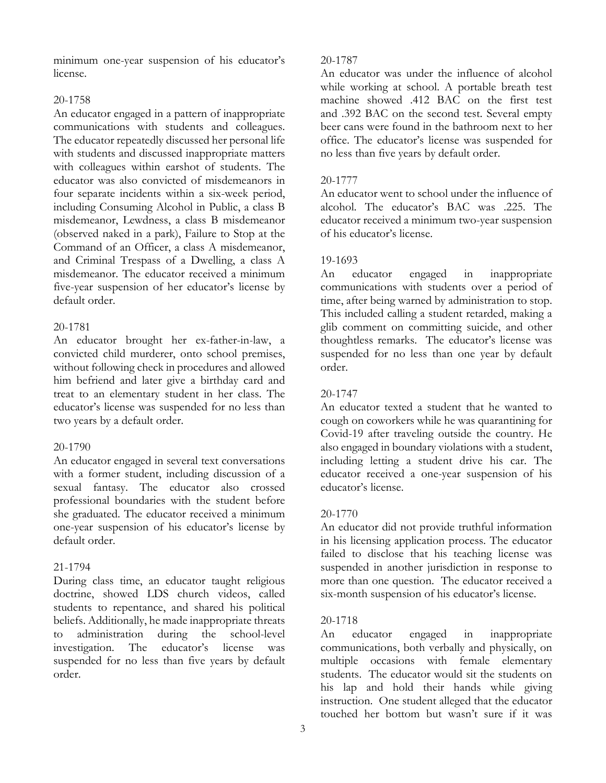minimum one-year suspension of his educator's 20-1787 license. An educator was under the influence of alcohol

communications with students and colleagues. beer cans were found in the bathroom next to her The educator repeatedly discussed her personal life office. The educator's license was suspended for with students and discussed inappropriate matters no less than five years by default order. with colleagues within earshot of students. The educator was also convicted of misdemeanors in 20-1777 four separate incidents within a six-week period, An educator went to school under the influence of including Consuming Alcohol in Public, a class B alcohol. The educator's BAC was .225. The misdemeanor, Lewdness, a class B misdemeanor educator received a minimum two-year suspension (observed naked in a park), Failure to Stop at the of his educator's license. Command of an Officer, a class A misdemeanor, and Criminal Trespass of a Dwelling, a class A 19-1693 misdemeanor. The educator received a minimum An educator engaged in inappropriate five-year suspension of her educator's license by communications with students over a period of default order. time, after being warned by administration to stop.

convicted child murderer, onto school premises, suspended for no less than one year by default without following check in procedures and allowed order. him befriend and later give a birthday card and treat to an elementary student in her class. The 20-1747 educator's license was suspended for no less than An educator texted a student that he wanted to two years by a default order. cough on coworkers while he was quarantining for

with a former student, including discussion of a educator received a one-year suspension of his sexual fantasy. The educator also crossed educator's license. professional boundaries with the student before she graduated. The educator received a minimum 20-1770 one-year suspension of his educator's license by An educator did not provide truthful information default order.  $\frac{1}{2}$  in his licensing application process. The educator

doctrine, showed LDS church videos, called six-month suspension of his educator's license. students to repentance, and shared his political beliefs. Additionally, he made inappropriate threats 20-1718 to administration during the school-level An educator engaged in inappropriate investigation. The educator's license was communications, both verbally and physically, on suspended for no less than five years by default multiple occasions with female elementary order. students. The educator would sit the students on

while working at school. A portable breath test 20-1758 machine showed .412 BAC on the first test An educator engaged in a pattern of inappropriate and .392 BAC on the second test. Several empty

This included calling a student retarded, making a 20-1781 glib comment on committing suicide, and other An educator brought her ex-father-in-law, a thoughtless remarks. The educator's license was

Covid-19 after traveling outside the country. He 20-1790 also engaged in boundary violations with a student, An educator engaged in several text conversations including letting a student drive his car. The

failed to disclose that his teaching license was 21-1794 suspended in another jurisdiction in response to During class time, an educator taught religious more than one question. The educator received a

his lap and hold their hands while giving instruction. One student alleged that the educator touched her bottom but wasn't sure if it was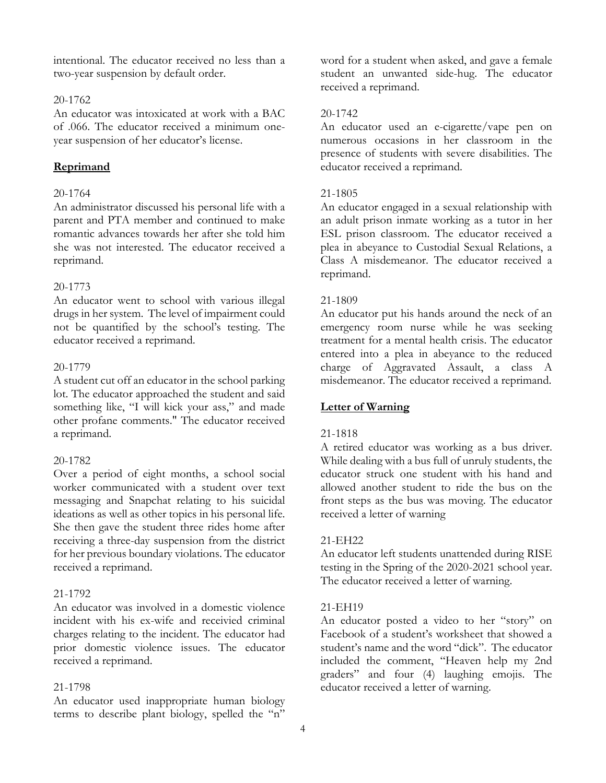intentional. The educator received no less than a word for a student when asked, and gave a female two-year suspension by default order. student an unwanted side-hug. The educator

## 20-1762

An educator was intoxicated at work with a BAC 20-1742 of .066. The educator received a minimum one- An educator used an e-cigarette/vape pen on year suspension of her educator's license. numerous occasions in her classroom in the

## 20-1764 21-1805

An administrator discussed his personal life with a An educator engaged in a sexual relationship with parent and PTA member and continued to make an adult prison inmate working as a tutor in her romantic advances towards her after she told him ESL prison classroom. The educator received a she was not interested. The educator received a plea in abeyance to Custodial Sexual Relations, a reprimand. Class A misdemeanor. The educator received a

## 20-1773

An educator went to school with various illegal 21-1809 drugs in her system. The level of impairment could An educator put his hands around the neck of an not be quantified by the school's testing. The emergency room nurse while he was seeking educator received a reprimand. treatment for a mental health crisis. The educator

lot. The educator approached the student and said something like, "I will kick your ass," and made **Letter of Warning** other profane comments." The educator received a reprimand. 21-1818

worker communicated with a student over text allowed another student to ride the bus on the messaging and Snapchat relating to his suicidal front steps as the bus was moving. The educator ideations as well as other topics in his personal life. received a letter of warning She then gave the student three rides home after receiving a three-day suspension from the district 21-EH22 for her previous boundary violations. The educator An educator left students unattended during RISE received a reprimand. testing in the Spring of the 2020-2021 school year.

## 21-1792

An educator was involved in a domestic violence 21-EH19 incident with his ex-wife and receivied criminal An educator posted a video to her "story" on charges relating to the incident. The educator had Facebook of a student's worksheet that showed a prior domestic violence issues. The educator student's name and the word "dick". The educator received a reprimand. included the comment, "Heaven help my 2nd

An educator used inappropriate human biology terms to describe plant biology, spelled the "n"

received a reprimand.

presence of students with severe disabilities. The **Reprimand** educator received a reprimand.

reprimand.

entered into a plea in abeyance to the reduced 20-1779 charge of Aggravated Assault, a class A A student cut off an educator in the school parking misdemeanor. The educator received a reprimand.

A retired educator was working as a bus driver. 20-1782 While dealing with a bus full of unruly students, the Over a period of eight months, a school social educator struck one student with his hand and

The educator received a letter of warning.

graders" and four (4) laughing emojis. The 21-1798 educator received a letter of warning.